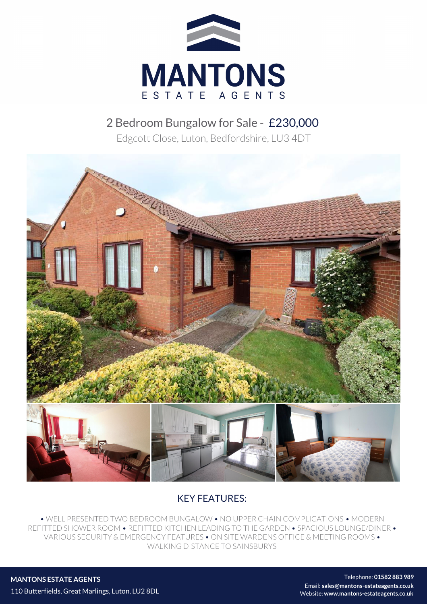

# 2 Bedroom Bungalow for Sale - £230,000

Edgcott Close, Luton, Bedfordshire, LU3 4DT



## KEY FEATURES:

• WELL PRESENTED TWO BEDROOM BUNGALOW • NO UPPER CHAIN COMPLICATIONS • MODERN REFITTED SHOWER ROOM • REFITTED KITCHEN LEADING TO THE GARDEN • SPACIOUS LOUNGE/DINER • VARIOUS SECURITY & EMERGENCY FEATURES • ON SITE WARDENS OFFICE & MEETING ROOMS • WALKING DISTANCE TO SAINSBURYS